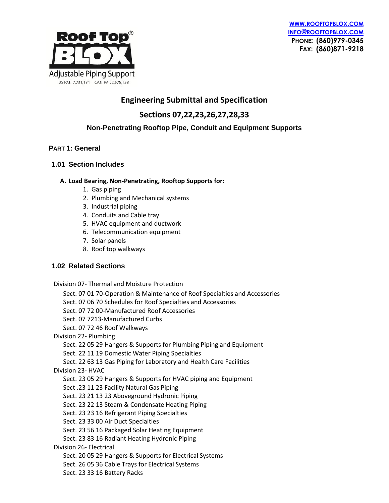



# **Engineering Submittal and Specification**

**Sections 07,22,23,26,27,28,33**

# **Non-Penetrating Rooftop Pipe, Conduit and Equipment Supports**

# **PART 1: General**

### **1.01 Section Includes**

#### **A. Load Bearing, Non-Penetrating, Rooftop Supports for:**

- 1. Gas piping
- 2. Plumbing and Mechanical systems
- 3. Industrial piping
- 4. Conduits and Cable tray
- 5. HVAC equipment and ductwork
- 6. Telecommunication equipment
- 7. Solar panels
- 8. Roof top walkways

# **1.02 Related Sections**

Division 07- Thermal and Moisture Protection

Sect. 07 01 70-Operation & Maintenance of Roof Specialties and Accessories Sect. 07 06 70 Schedules for Roof Specialties and Accessories Sect. 07 72 00-Manufactured Roof Accessories Sect. 07 7213-Manufactured Curbs Sect. 07 72 46 Roof Walkways Division 22- Plumbing Sect. 22 05 29 Hangers & Supports for Plumbing Piping and Equipment Sect. 22 11 19 Domestic Water Piping Specialties Sect. 22 63 13 Gas Piping for Laboratory and Health Care Facilities Division 23- HVAC Sect. 23 05 29 Hangers & Supports for HVAC piping and Equipment Sect .23 11 23 Facility Natural Gas Piping Sect. 23 21 13 23 Aboveground Hydronic Piping Sect. 23 22 13 Steam & Condensate Heating Piping Sect. 23 23 16 Refrigerant Piping Specialties Sect. 23 33 00 Air Duct Specialties Sect. 23 56 16 Packaged Solar Heating Equipment Sect. 23 83 16 Radiant Heating Hydronic Piping Division 26- Electrical Sect. 20 05 29 Hangers & Supports for Electrical Systems Sect. 26 05 36 Cable Trays for Electrical Systems Sect. 23 33 16 Battery Racks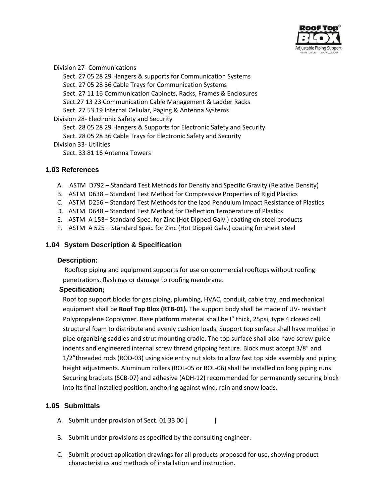

Division 27- Communications

 Sect. 27 05 28 29 Hangers & supports for Communication Systems Sect. 27 05 28 36 Cable Trays for Communication Systems Sect. 27 11 16 Communication Cabinets, Racks, Frames & Enclosures Sect.27 13 23 Communication Cable Management & Ladder Racks Sect. 27 53 19 Internal Cellular, Paging & Antenna Systems Division 28- Electronic Safety and Security Sect. 28 05 28 29 Hangers & Supports for Electronic Safety and Security Sect. 28 05 28 36 Cable Trays for Electronic Safety and Security Division 33- Utilities Sect. 33 81 16 Antenna Towers

### **1.03 References**

- A. ASTM D792 Standard Test Methods for Density and Specific Gravity (Relative Density)
- B. ASTM D638 Standard Test Method for Compressive Properties of Rigid Plastics
- C. ASTM D256 Standard Test Methods for the Izod Pendulum Impact Resistance of Plastics
- D. ASTM D648 Standard Test Method for Deflection Temperature of Plastics
- E. ASTM A 153– Standard Spec. for Zinc (Hot Dipped Galv.) coating on steel products
- F. ASTM A 525 Standard Spec. for Zinc (Hot Dipped Galv.) coating for sheet steel

### **1.04 System Description & Specification**

#### **Description:**

Rooftop piping and equipment supports for use on commercial rooftops without roofing penetrations, flashings or damage to roofing membrane.

# **Specification;**

Roof top support blocks for gas piping, plumbing, HVAC, conduit, cable tray, and mechanical equipment shall be **Roof Top Blox (RTB-01).** The support body shall be made of UV- resistant Polypropylene Copolymer. Base platform material shall be I" thick, 25psi, type 4 closed cell structural foam to distribute and evenly cushion loads. Support top surface shall have molded in pipe organizing saddles and strut mounting cradle. The top surface shall also have screw guide indents and engineered internal screw thread gripping feature. Block must accept 3/8" and 1/2"threaded rods (ROD-03) using side entry nut slots to allow fast top side assembly and piping height adjustments. Aluminum rollers (ROL-05 or ROL-06) shall be installed on long piping runs. Securing brackets (SCB-07) and adhesive (ADH-12) recommended for permanently securing block into its final installed position, anchoring against wind, rain and snow loads.

# **1.05 Submittals**

- A. Submit under provision of Sect. 01 33 00 [
- B. Submit under provisions as specified by the consulting engineer.
- C. Submit product application drawings for all products proposed for use, showing product characteristics and methods of installation and instruction.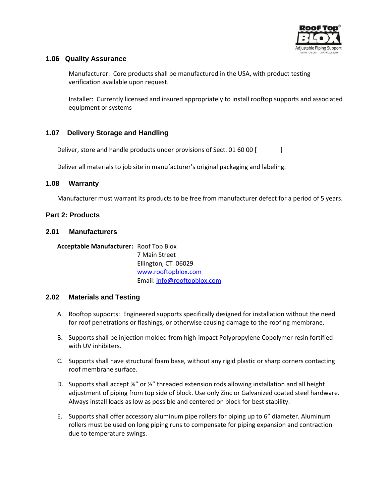

### **1.06 Quality Assurance**

Manufacturer: Core products shall be manufactured in the USA, with product testing verification available upon request.

Installer: Currently licensed and insured appropriately to install rooftop supports and associated equipment or systems

# **1.07 Delivery Storage and Handling**

Deliver, store and handle products under provisions of Sect. 01 60 00 [

Deliver all materials to job site in manufacturer's original packaging and labeling.

#### **1.08 Warranty**

Manufacturer must warrant its products to be free from manufacturer defect for a period of 5 years.

#### **Part 2: Products**

#### **2.01 Manufacturers**

**Acceptable Manufacturer:** Roof Top Blox 7 Main Street Ellington, CT 06029 [www.rooftopblox.com](http://www.rooftopblox.com/) Email: [info@rooftopblox.com](mailto:info@rooftopblox.com)

#### **2.02 Materials and Testing**

- A. Rooftop supports: Engineered supports specifically designed for installation without the need for roof penetrations or flashings, or otherwise causing damage to the roofing membrane.
- B. Supports shall be injection molded from high-impact Polypropylene Copolymer resin fortified with UV inhibiters.
- C. Supports shall have structural foam base, without any rigid plastic or sharp corners contacting roof membrane surface.
- D. Supports shall accept ⅜" or ½" threaded extension rods allowing installation and all height adjustment of piping from top side of block. Use only Zinc or Galvanized coated steel hardware. Always install loads as low as possible and centered on block for best stability.
- E. Supports shall offer accessory aluminum pipe rollers for piping up to 6" diameter. Aluminum rollers must be used on long piping runs to compensate for piping expansion and contraction due to temperature swings.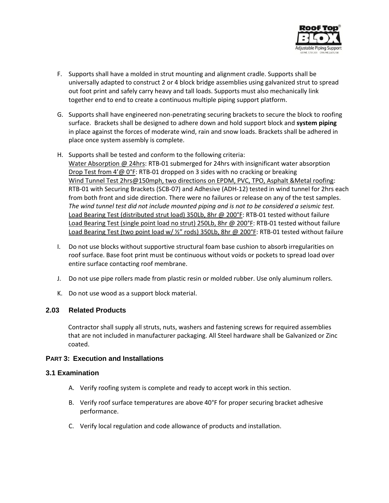

- F. Supports shall have a molded in strut mounting and alignment cradle. Supports shall be universally adapted to construct 2 or 4 block bridge assemblies using galvanized strut to spread out foot print and safely carry heavy and tall loads. Supports must also mechanically link together end to end to create a continuous multiple piping support platform.
- G. Supports shall have engineered non-penetrating securing brackets to secure the block to roofing surface. Brackets shall be designed to adhere down and hold support block and **system piping**  in place against the forces of moderate wind, rain and snow loads. Brackets shall be adhered in place once system assembly is complete.
- H. Supports shall be tested and conform to the following criteria: Water Absorption @ 24hrs: RTB-01 submerged for 24hrs with insignificant water absorption Drop Test from 4'@ 0°F: RTB-01 dropped on 3 sides with no cracking or breaking Wind Tunnel Test 2hrs@150mph, two directions on EPDM, PVC, TPO, Asphalt &Metal roofing: RTB-01 with Securing Brackets (SCB-07) and Adhesive (ADH-12) tested in wind tunnel for 2hrs each from both front and side direction. There were no failures or release on any of the test samples. *The wind tunnel test did not include mounted piping and is not to be considered a seismic test.* Load Bearing Test (distributed strut load) 350Lb, 8hr @ 200°F: RTB-01 tested without failure Load Bearing Test (single point load no strut) 250Lb, 8hr @ 200°F: RTB-01 tested without failure Load Bearing Test (two point load w/ 1/2" rods) 350Lb, 8hr @ 200°F: RTB-01 tested without failure
- I. Do not use blocks without supportive structural foam base cushion to absorb irregularities on roof surface. Base foot print must be continuous without voids or pockets to spread load over entire surface contacting roof membrane.
- J. Do not use pipe rollers made from plastic resin or molded rubber. Use only aluminum rollers.
- K. Do not use wood as a support block material.

# **2.03 Related Products**

Contractor shall supply all struts, nuts, washers and fastening screws for required assemblies that are not included in manufacturer packaging. All Steel hardware shall be Galvanized or Zinc coated.

### **PART 3: Execution and Installations**

#### **3.1 Examination**

- A. Verify roofing system is complete and ready to accept work in this section.
- B. Verify roof surface temperatures are above 40°F for proper securing bracket adhesive performance.
- C. Verify local regulation and code allowance of products and installation.